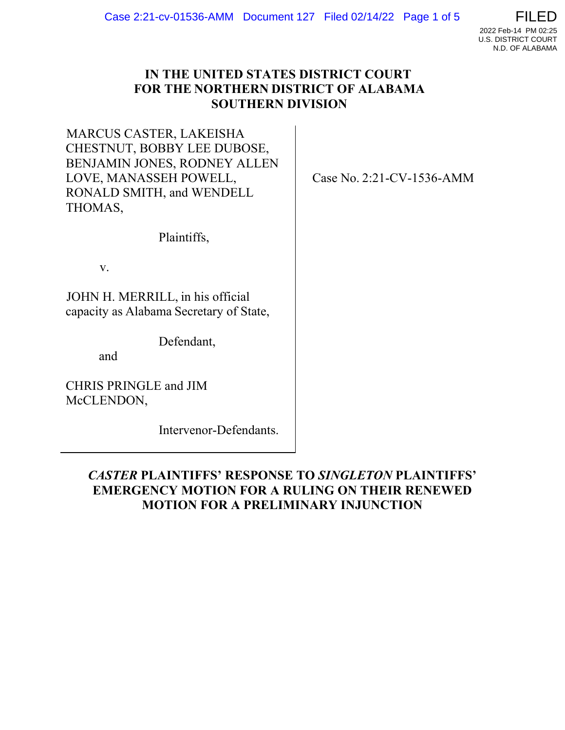

## **IN THE UNITED STATES DISTRICT COURT FOR THE NORTHERN DISTRICT OF ALABAMA SOUTHERN DIVISION**

MARCUS CASTER, LAKEISHA CHESTNUT, BOBBY LEE DUBOSE, BENJAMIN JONES, RODNEY ALLEN LOVE, MANASSEH POWELL, RONALD SMITH, and WENDELL THOMAS, 

Case No. 2:21-CV-1536-AMM 

Plaintiffs,  

v.  

JOHN H. MERRILL, in his official capacity as Alabama Secretary of State,  

Defendant, 

and  

CHRIS PRINGLE and JIM McCLENDON,  

Intervenor-Defendants.  

# *CASTER* **PLAINTIFFS' RESPONSE TO** *SINGLETON* **PLAINTIFFS' EMERGENCY MOTION FOR A RULING ON THEIR RENEWED MOTION FOR A PRELIMINARY INJUNCTION**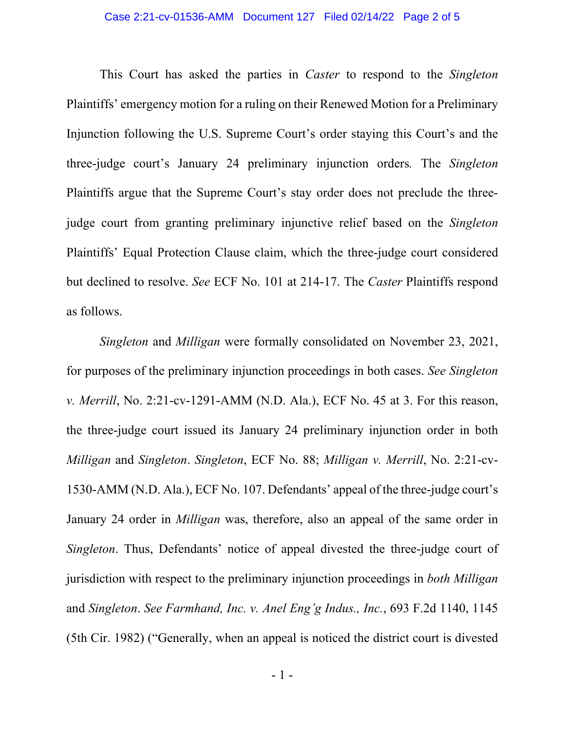#### Case 2:21-cv-01536-AMM Document 127 Filed 02/14/22 Page 2 of 5

This Court has asked the parties in *Caster* to respond to the *Singleton* Plaintiffs' emergency motion for a ruling on their Renewed Motion for a Preliminary Injunction following the U.S. Supreme Court's order staying this Court's and the three-judge court's January 24 preliminary injunction orders*.* The *Singleton*  Plaintiffs argue that the Supreme Court's stay order does not preclude the threejudge court from granting preliminary injunctive relief based on the *Singleton*  Plaintiffs' Equal Protection Clause claim, which the three-judge court considered but declined to resolve. *See* ECF No. 101 at 214-17. The *Caster* Plaintiffs respond as follows.

*Singleton* and *Milligan* were formally consolidated on November 23, 2021, for purposes of the preliminary injunction proceedings in both cases. *See Singleton v. Merrill*, No. 2:21-cv-1291-AMM (N.D. Ala.), ECF No. 45 at 3. For this reason, the three-judge court issued its January 24 preliminary injunction order in both *Milligan* and *Singleton*. *Singleton*, ECF No. 88; *Milligan v. Merrill*, No. 2:21-cv-1530-AMM (N.D. Ala.), ECF No. 107. Defendants' appeal of the three-judge court's January 24 order in *Milligan* was, therefore, also an appeal of the same order in *Singleton*. Thus, Defendants' notice of appeal divested the three-judge court of jurisdiction with respect to the preliminary injunction proceedings in *both Milligan*  and *Singleton*. *See Farmhand, Inc. v. Anel Eng'g Indus., Inc.*, 693 F.2d 1140, 1145 (5th Cir. 1982) ("Generally, when an appeal is noticed the district court is divested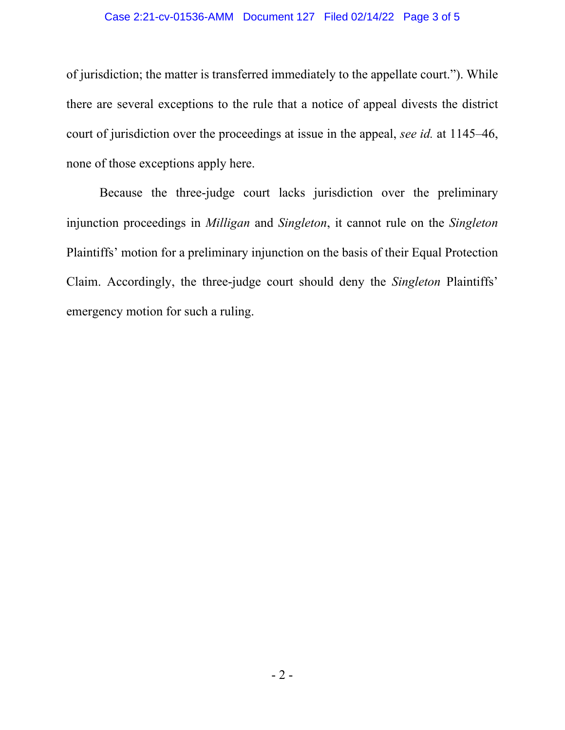### Case 2:21-cv-01536-AMM Document 127 Filed 02/14/22 Page 3 of 5

of jurisdiction; the matter is transferred immediately to the appellate court."). While there are several exceptions to the rule that a notice of appeal divests the district court of jurisdiction over the proceedings at issue in the appeal, *see id.* at 1145–46, none of those exceptions apply here.

Because the three-judge court lacks jurisdiction over the preliminary injunction proceedings in *Milligan* and *Singleton*, it cannot rule on the *Singleton* Plaintiffs' motion for a preliminary injunction on the basis of their Equal Protection Claim. Accordingly, the three-judge court should deny the *Singleton* Plaintiffs' emergency motion for such a ruling.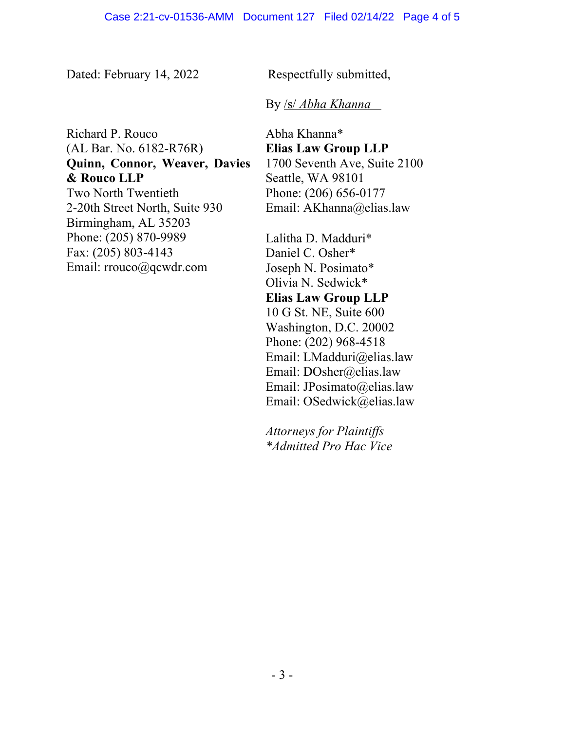Dated: February 14, 2022 

Respectfully submitted, 

### By /s/ *Abha Khanna*

Richard P. Rouco (AL Bar. No. 6182-R76R)   **Quinn, Connor, Weaver, Davies & Rouco LLP** Two North Twentieth   2-20th Street North, Suite 930   Birmingham, AL 35203   Phone: (205) 870-9989   Fax: (205) 803-4143   Email: rrouco@qcwdr.com 

Abha Khanna\*  **Elias Law Group LLP** 1700 Seventh Ave, Suite 2100  Seattle, WA 98101  Phone: (206) 656-0177  Email: AKhanna@elias.law 

Lalitha D. Madduri\*  Daniel C. Osher\*  Joseph N. Posimato\*  Olivia N. Sedwick\*  **Elias Law Group LLP** 10 G St. NE, Suite 600  Washington, D.C. 20002  Phone: (202) 968-4518  Email: LMadduri@elias.law  Email: DOsher@elias.law  Email: JPosimato@elias.law  Email: OSedwick@elias.law 

*Attorneys for Plaintiffs \*Admitted Pro Hac Vice*